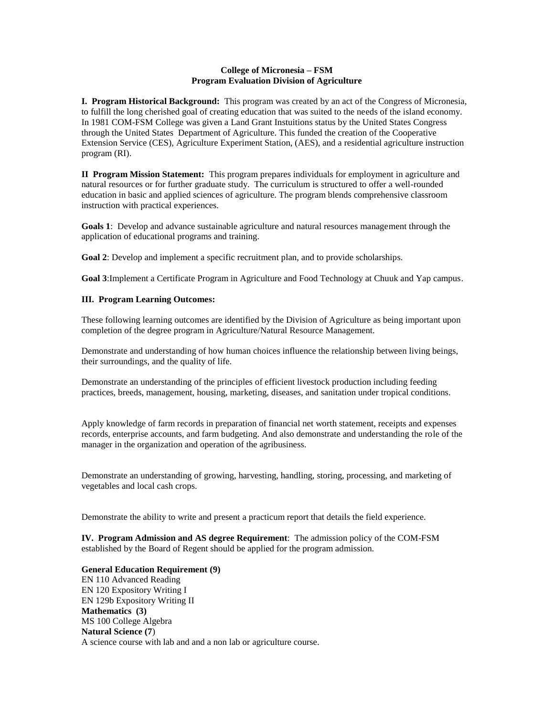### **College of Micronesia – FSM Program Evaluation Division of Agriculture**

**I. Program Historical Background:** This program was created by an act of the Congress of Micronesia, to fulfill the long cherished goal of creating education that was suited to the needs of the island economy. In 1981 COM-FSM College was given a Land Grant Instuitions status by the United States Congress through the United States Department of Agriculture. This funded the creation of the Cooperative Extension Service (CES), Agriculture Experiment Station, (AES), and a residential agriculture instruction program (RI).

**II Program Mission Statement:** This program prepares individuals for employment in agriculture and natural resources or for further graduate study. The curriculum is structured to offer a well-rounded education in basic and applied sciences of agriculture. The program blends comprehensive classroom instruction with practical experiences.

**Goals 1**: Develop and advance sustainable agriculture and natural resources management through the application of educational programs and training.

**Goal 2**: Develop and implement a specific recruitment plan, and to provide scholarships.

**Goal 3**:Implement a Certificate Program in Agriculture and Food Technology at Chuuk and Yap campus.

#### **III. Program Learning Outcomes:**

These following learning outcomes are identified by the Division of Agriculture as being important upon completion of the degree program in Agriculture/Natural Resource Management.

Demonstrate and understanding of how human choices influence the relationship between living beings, their surroundings, and the quality of life.

Demonstrate an understanding of the principles of efficient livestock production including feeding practices, breeds, management, housing, marketing, diseases, and sanitation under tropical conditions.

Apply knowledge of farm records in preparation of financial net worth statement, receipts and expenses records, enterprise accounts, and farm budgeting. And also demonstrate and understanding the role of the manager in the organization and operation of the agribusiness.

Demonstrate an understanding of growing, harvesting, handling, storing, processing, and marketing of vegetables and local cash crops.

Demonstrate the ability to write and present a practicum report that details the field experience.

**IV. Program Admission and AS degree Requirement**: The admission policy of the COM-FSM established by the Board of Regent should be applied for the program admission.

**General Education Requirement (9)** EN 110 Advanced Reading EN 120 Expository Writing I EN 129b Expository Writing II **Mathematics (3)** MS 100 College Algebra **Natural Science (7**) A science course with lab and and a non lab or agriculture course.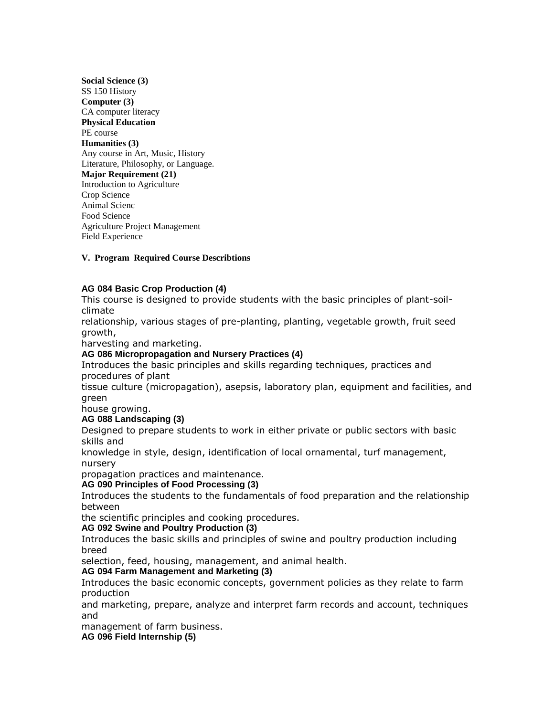| Social Science (3)                   |
|--------------------------------------|
| SS 150 History                       |
| Computer (3)                         |
| CA computer literacy                 |
| <b>Physical Education</b>            |
| PE course                            |
| Humanities (3)                       |
| Any course in Art, Music, History    |
| Literature, Philosophy, or Language. |
| <b>Major Requirement (21)</b>        |
| Introduction to Agriculture          |
| Crop Science                         |
| Animal Scienc                        |
| Food Science                         |
| Agriculture Project Management       |
| <b>Field Experience</b>              |

### **V. Program Required Course Describtions**

#### **AG 084 Basic Crop Production (4)**

This course is designed to provide students with the basic principles of plant-soilclimate

relationship, various stages of pre-planting, planting, vegetable growth, fruit seed growth,

harvesting and marketing.

### **AG 086 Micropropagation and Nursery Practices (4)**

Introduces the basic principles and skills regarding techniques, practices and procedures of plant

tissue culture (micropagation), asepsis, laboratory plan, equipment and facilities, and green

house growing.

### **AG 088 Landscaping (3)**

Designed to prepare students to work in either private or public sectors with basic skills and

knowledge in style, design, identification of local ornamental, turf management, nursery

propagation practices and maintenance.

### **AG 090 Principles of Food Processing (3)**

Introduces the students to the fundamentals of food preparation and the relationship between

the scientific principles and cooking procedures.

### **AG 092 Swine and Poultry Production (3)**

Introduces the basic skills and principles of swine and poultry production including breed

selection, feed, housing, management, and animal health.

### **AG 094 Farm Management and Marketing (3)**

Introduces the basic economic concepts, government policies as they relate to farm production

and marketing, prepare, analyze and interpret farm records and account, techniques and

management of farm business.

**AG 096 Field Internship (5)**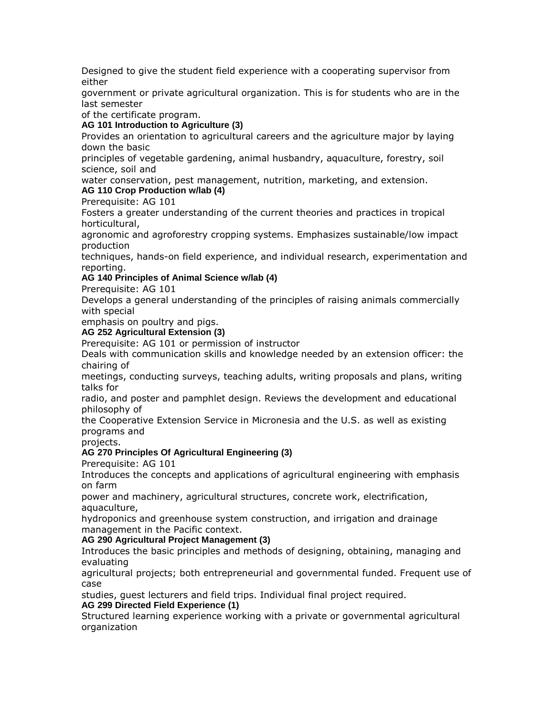Designed to give the student field experience with a cooperating supervisor from either

government or private agricultural organization. This is for students who are in the last semester

of the certificate program.

## **AG 101 Introduction to Agriculture (3)**

Provides an orientation to agricultural careers and the agriculture major by laying down the basic

principles of vegetable gardening, animal husbandry, aquaculture, forestry, soil science, soil and

water conservation, pest management, nutrition, marketing, and extension. **AG 110 Crop Production w/lab (4)**

## Prerequisite: AG 101

Fosters a greater understanding of the current theories and practices in tropical horticultural,

agronomic and agroforestry cropping systems. Emphasizes sustainable/low impact production

techniques, hands-on field experience, and individual research, experimentation and reporting.

## **AG 140 Principles of Animal Science w/lab (4)**

Prerequisite: AG 101

Develops a general understanding of the principles of raising animals commercially with special

emphasis on poultry and pigs.

## **AG 252 Agricultural Extension (3)**

Prerequisite: AG 101 or permission of instructor

Deals with communication skills and knowledge needed by an extension officer: the chairing of

meetings, conducting surveys, teaching adults, writing proposals and plans, writing talks for

radio, and poster and pamphlet design. Reviews the development and educational philosophy of

the Cooperative Extension Service in Micronesia and the U.S. as well as existing programs and

projects.

# **AG 270 Principles Of Agricultural Engineering (3)**

Prerequisite: AG 101

Introduces the concepts and applications of agricultural engineering with emphasis on farm

power and machinery, agricultural structures, concrete work, electrification, aquaculture,

hydroponics and greenhouse system construction, and irrigation and drainage management in the Pacific context.

**AG 290 Agricultural Project Management (3)**

Introduces the basic principles and methods of designing, obtaining, managing and evaluating

agricultural projects; both entrepreneurial and governmental funded. Frequent use of case

studies, guest lecturers and field trips. Individual final project required. **AG 299 Directed Field Experience (1)**

Structured learning experience working with a private or governmental agricultural organization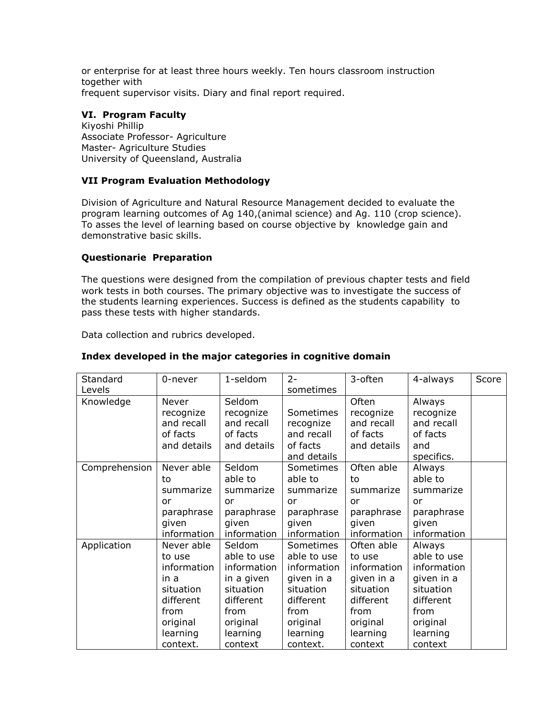or enterprise for at least three hours weekly. Ten hours classroom instruction together with frequent supervisor visits. Diary and final report required.

# **VI. Program Faculty**

Kiyoshi Phillip Associate Professor- Agriculture Master- Agriculture Studies University of Queensland, Australia

# **VII Program Evaluation Methodology**

Division of Agriculture and Natural Resource Management decided to evaluate the program learning outcomes of Ag 140,(animal science) and Ag. 110 (crop science). To asses the level of learning based on course objective by knowledge gain and demonstrative basic skills.

### **Questionarie Preparation**

The questions were designed from the compilation of previous chapter tests and field work tests in both courses. The primary objective was to investigate the success of the students learning experiences. Success is defined as the students capability to pass these tests with higher standards.

Data collection and rubrics developed.

### **Index developed in the major categories in cognitive domain**

| Standard      | 0-never     | 1-seldom    | $2 -$       | 3-often     | 4-always    | Score |
|---------------|-------------|-------------|-------------|-------------|-------------|-------|
| Levels        |             |             | sometimes   |             |             |       |
| Knowledge     | Never       | Seldom      |             | Often       | Always      |       |
|               | recognize   | recognize   | Sometimes   | recognize   | recognize   |       |
|               | and recall  | and recall  | recognize   | and recall  | and recall  |       |
|               | of facts    | of facts    | and recall  | of facts    | of facts    |       |
|               | and details | and details | of facts    | and details | and         |       |
|               |             |             | and details |             | specifics.  |       |
| Comprehension | Never able  | Seldom      | Sometimes   | Often able  | Always      |       |
|               | to          | able to     | able to     | to          | able to     |       |
|               | summarize   | summarize   | summarize   | summarize   | summarize   |       |
|               | or          | or          | or          | or          | or          |       |
|               | paraphrase  | paraphrase  | paraphrase  | paraphrase  | paraphrase  |       |
|               | given       | given       | given       | given       | given       |       |
|               | information | information | information | information | information |       |
| Application   | Never able  | Seldom      | Sometimes   | Often able  | Always      |       |
|               | to use      | able to use | able to use | to use      | able to use |       |
|               | information | information | information | information | information |       |
|               | in a        | in a given  | given in a  | given in a  | given in a  |       |
|               | situation   | situation   | situation   | situation   | situation   |       |
|               | different   | different   | different   | different   | different   |       |
|               | from        | from        | from        | from        | from        |       |
|               | original    | original    | original    | original    | original    |       |
|               | learning    | learning    | learning    | learning    | learning    |       |
|               | context.    | context     | context.    | context     | context     |       |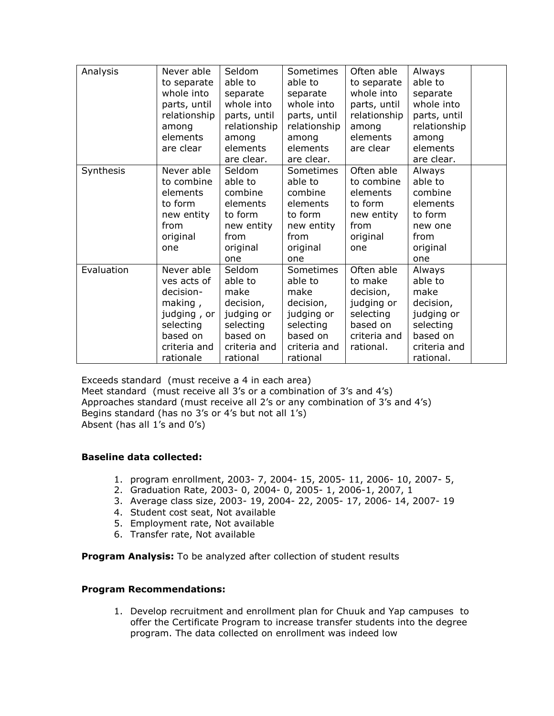| Analysis   | Never able   | Seldom       | Sometimes    | Often able   | Always       |  |
|------------|--------------|--------------|--------------|--------------|--------------|--|
|            |              |              |              |              |              |  |
|            | to separate  | able to      | able to      | to separate  | able to      |  |
|            | whole into   | separate     | separate     | whole into   | separate     |  |
|            | parts, until | whole into   | whole into   | parts, until | whole into   |  |
|            | relationship | parts, until | parts, until | relationship | parts, until |  |
|            | among        | relationship | relationship | among        | relationship |  |
|            | elements     | among        | among        | elements     | among        |  |
|            | are clear    | elements     | elements     | are clear    | elements     |  |
|            |              | are clear.   | are clear.   |              | are clear.   |  |
| Synthesis  | Never able   | Seldom       | Sometimes    | Often able   | Always       |  |
|            | to combine   | able to      | able to      | to combine   | able to      |  |
|            | elements     | combine      | combine      | elements     | combine      |  |
|            | to form      | elements     | elements     | to form      | elements     |  |
|            | new entity   | to form      | to form      | new entity   | to form      |  |
|            | from         | new entity   | new entity   | from         | new one      |  |
|            | original     | from         | from         | original     | from         |  |
|            | one          | original     | original     | one          | original     |  |
|            |              | one          | one          |              | one          |  |
| Evaluation | Never able   | Seldom       | Sometimes    | Often able   | Always       |  |
|            | ves acts of  | able to      | able to      | to make      | able to      |  |
|            | decision-    | make         | make         | decision,    | make         |  |
|            | making,      | decision,    | decision,    | judging or   | decision,    |  |
|            | judging, or  | judging or   | judging or   | selecting    | judging or   |  |
|            | selecting    | selecting    | selecting    | based on     | selecting    |  |
|            | based on     | based on     | based on     | criteria and | based on     |  |
|            | criteria and | criteria and | criteria and | rational.    | criteria and |  |
|            | rationale    | rational     | rational     |              | rational.    |  |

Exceeds standard (must receive a 4 in each area) Meet standard (must receive all 3's or a combination of 3's and 4's) Approaches standard (must receive all 2's or any combination of 3's and 4's) Begins standard (has no 3's or 4's but not all 1's) Absent (has all 1's and 0's)

### **Baseline data collected:**

- 1. program enrollment, 2003- 7, 2004- 15, 2005- 11, 2006- 10, 2007- 5,
- 2. Graduation Rate, 2003- 0, 2004- 0, 2005- 1, 2006-1, 2007, 1
- 3. Average class size, 2003- 19, 2004- 22, 2005- 17, 2006- 14, 2007- 19
- 4. Student cost seat, Not available
- 5. Employment rate, Not available
- 6. Transfer rate, Not available

**Program Analysis:** To be analyzed after collection of student results

### **Program Recommendations:**

1. Develop recruitment and enrollment plan for Chuuk and Yap campuses to offer the Certificate Program to increase transfer students into the degree program. The data collected on enrollment was indeed low